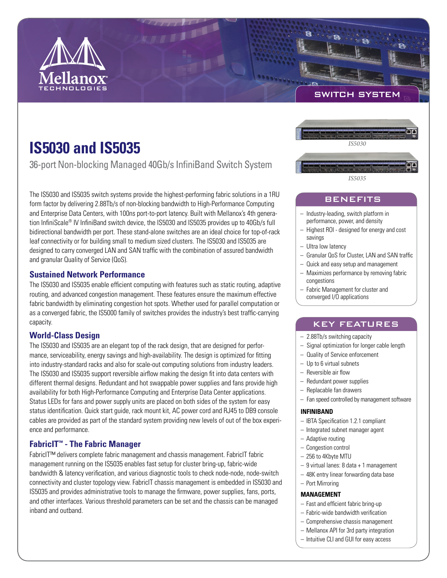

SWITCH SYSTEM

# **IS5030 and IS5035**

36-port Non-blocking Managed 40Gb/s InfiniBand Switch System

The IS5030 and IS5035 switch systems provide the highest-performing fabric solutions in a 1RU form factor by delivering 2.88Tb/s of non-blocking bandwidth to High-Performance Computing and Enterprise Data Centers, with 100ns port-to-port latency. Built with Mellanox's 4th generation InfiniScale® IV InfiniBand switch device, the IS5030 and IS5035 provides up to 40Gb/s full bidirectional bandwidth per port. These stand-alone switches are an ideal choice for top-of-rack leaf connectivity or for building small to medium sized clusters. The IS5030 and IS5035 are designed to carry converged LAN and SAN traffic with the combination of assured bandwidth and granular Quality of Service (QoS).

# **Sustained Network Performance**

The IS5030 and IS5035 enable efficient computing with features such as static routing, adaptive routing, and advanced congestion management. These features ensure the maximum effective fabric bandwidth by eliminating congestion hot spots. Whether used for parallel computation or as a converged fabric, the IS5000 family of switches provides the industry's best traffic-carrying capacity.

# **World-Class Design**

The IS5030 and IS5035 are an elegant top of the rack design, that are designed for performance, serviceability, energy savings and high-availability. The design is optimized for fitting into industry-standard racks and also for scale-out computing solutions from industry leaders. The IS5030 and IS5035 support reversible airflow making the design fit into data centers with different thermal designs. Redundant and hot swappable power supplies and fans provide high availability for both High-Performance Computing and Enterprise Data Center applications. Status LEDs for fans and power supply units are placed on both sides of the system for easy status identification. Quick start guide, rack mount kit, AC power cord and RJ45 to DB9 console cables are provided as part of the standard system providing new levels of out of the box experience and performance.

# **FabricIT™ - The Fabric Manager**

FabricIT™ delivers complete fabric management and chassis management. FabricIT fabric management running on the IS5035 enables fast setup for cluster bring-up, fabric-wide bandwidth & latency verification, and various diagnostic tools to check node-node, node-switch connectivity and cluster topology view. FabricIT chassis management is embedded in IS5030 and IS5035 and provides administrative tools to manage the firmware, power supplies, fans, ports, and other interfaces. Various threshold parameters can be set and the chassis can be managed inband and outband.



# BENEFITS

- Industry-leading, switch platform in performance, power, and density
- Highest ROI designed for energy and cost savings
- Ultra low latency
- Granular QoS for Cluster, LAN and SAN traffic
- Quick and easy setup and management
- Maximizes performance by removing fabric congestions
- Fabric Management for cluster and converged I/O applications

# KEY FEATURES

- 2.88Tb/s switching capacity
- Signal optimization for longer cable length
- Quality of Service enforcement
- Up to 6 virtual subnets
- $-$  Reversible air flow
- Redundant power supplies
- Replacable fan drawers
- Fan speed controlled by management software

#### **INFINIBAND**

- IBTA Specification 1.2.1 compliant
- Integrated subnet manager agent
- Adaptive routing
- Congestion control
- 256 to 4Kbyte MTU
- $-9$  virtual lanes: 8 data + 1 management
- 48K entry linear forwarding data base
- Port Mirroring

### **MANAGEMENT**

- Fast and efficient fabric bring-up
- $-$  Fabric-wide bandwidth verification
- Comprehensive chassis management
- Mellanox API for 3rd party integration
- Intuitive CLI and GUI for easy access